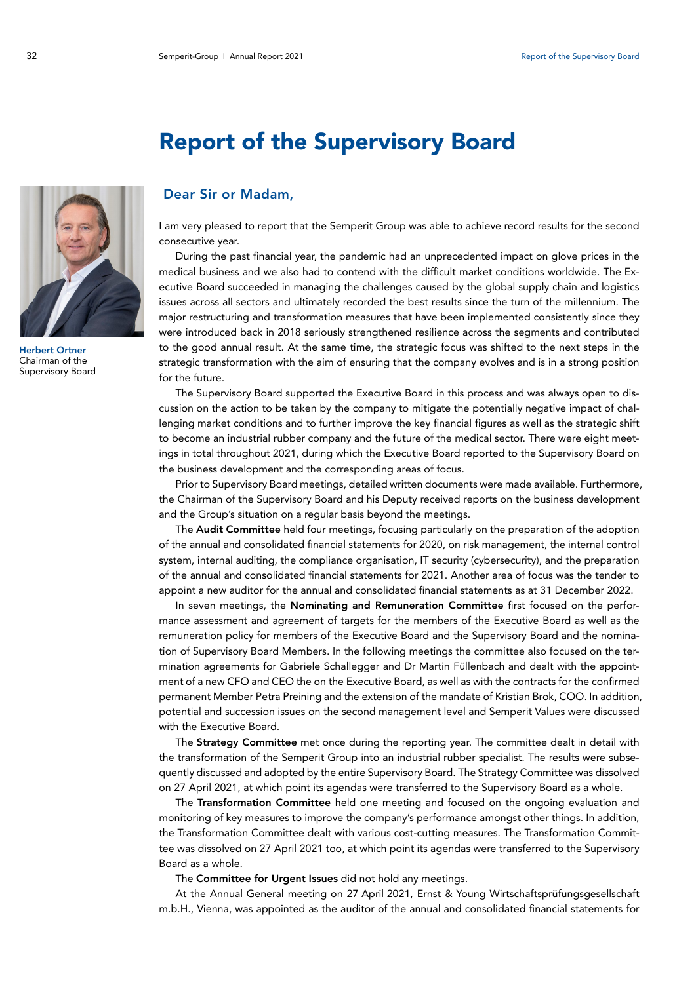

Herbert Ortner Chairman of the Supervisory Board

## Report of the Supervisory Board

## Dear Sir or Madam,

I am very pleased to report that the Semperit Group was able to achieve record results for the second consecutive year.

During the past financial year, the pandemic had an unprecedented impact on glove prices in the medical business and we also had to contend with the difficult market conditions worldwide. The Executive Board succeeded in managing the challenges caused by the global supply chain and logistics issues across all sectors and ultimately recorded the best results since the turn of the millennium. The major restructuring and transformation measures that have been implemented consistently since they were introduced back in 2018 seriously strengthened resilience across the segments and contributed to the good annual result. At the same time, the strategic focus was shifted to the next steps in the strategic transformation with the aim of ensuring that the company evolves and is in a strong position for the future.

The Supervisory Board supported the Executive Board in this process and was always open to discussion on the action to be taken by the company to mitigate the potentially negative impact of challenging market conditions and to further improve the key financial figures as well as the strategic shift to become an industrial rubber company and the future of the medical sector. There were eight meetings in total throughout 2021, during which the Executive Board reported to the Supervisory Board on the business development and the corresponding areas of focus.

Prior to Supervisory Board meetings, detailed written documents were made available. Furthermore, the Chairman of the Supervisory Board and his Deputy received reports on the business development and the Group's situation on a regular basis beyond the meetings.

The **Audit Committee** held four meetings, focusing particularly on the preparation of the adoption of the annual and consolidated financial statements for 2020, on risk management, the internal control system, internal auditing, the compliance organisation, IT security (cybersecurity), and the preparation of the annual and consolidated financial statements for 2021. Another area of focus was the tender to appoint a new auditor for the annual and consolidated financial statements as at 31 December 2022.

In seven meetings, the Nominating and Remuneration Committee first focused on the performance assessment and agreement of targets for the members of the Executive Board as well as the remuneration policy for members of the Executive Board and the Supervisory Board and the nomination of Supervisory Board Members. In the following meetings the committee also focused on the termination agreements for Gabriele Schallegger and Dr Martin Füllenbach and dealt with the appointment of a new CFO and CEO the on the Executive Board, as well as with the contracts for the confirmed permanent Member Petra Preining and the extension of the mandate of Kristian Brok, COO. In addition, potential and succession issues on the second management level and Semperit Values were discussed with the Executive Board.

The Strategy Committee met once during the reporting year. The committee dealt in detail with the transformation of the Semperit Group into an industrial rubber specialist. The results were subsequently discussed and adopted by the entire Supervisory Board. The Strategy Committee was dissolved on 27 April 2021, at which point its agendas were transferred to the Supervisory Board as a whole.

The Transformation Committee held one meeting and focused on the ongoing evaluation and monitoring of key measures to improve the company's performance amongst other things. In addition, the Transformation Committee dealt with various cost-cutting measures. The Transformation Committee was dissolved on 27 April 2021 too, at which point its agendas were transferred to the Supervisory Board as a whole.

The Committee for Urgent Issues did not hold any meetings.

At the Annual General meeting on 27 April 2021, Ernst & Young Wirtschaftsprüfungsgesellschaft m.b.H., Vienna, was appointed as the auditor of the annual and consolidated financial statements for